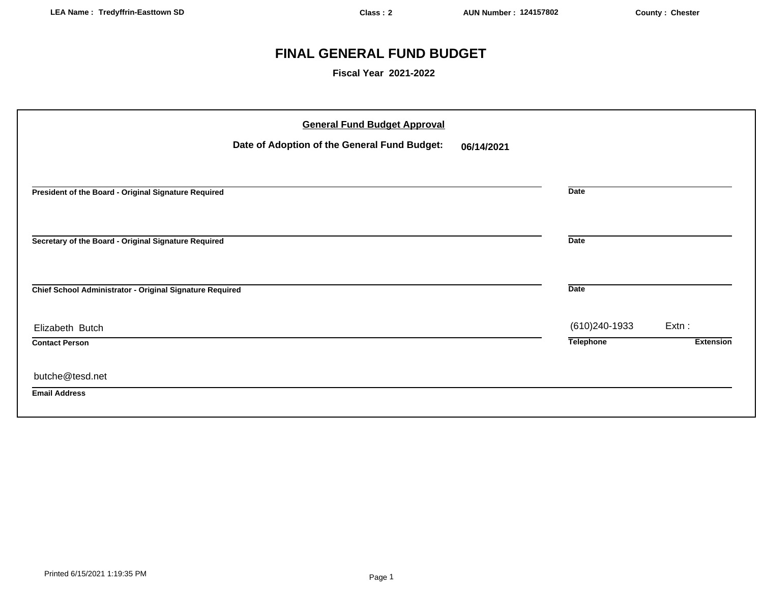# **FINAL GENERAL FUND BUDGET**

**Fiscal Year 2021-2022**

| <b>General Fund Budget Approval</b>                        |                  |                  |
|------------------------------------------------------------|------------------|------------------|
| Date of Adoption of the General Fund Budget:<br>06/14/2021 |                  |                  |
|                                                            |                  |                  |
| President of the Board - Original Signature Required       | <b>Date</b>      |                  |
|                                                            |                  |                  |
| Secretary of the Board - Original Signature Required       | <b>Date</b>      |                  |
| Chief School Administrator - Original Signature Required   | <b>Date</b>      |                  |
| Elizabeth Butch                                            | (610) 240-1933   | $Extn$ :         |
| <b>Contact Person</b>                                      | <b>Telephone</b> | <b>Extension</b> |
| butche@tesd.net                                            |                  |                  |
| <b>Email Address</b>                                       |                  |                  |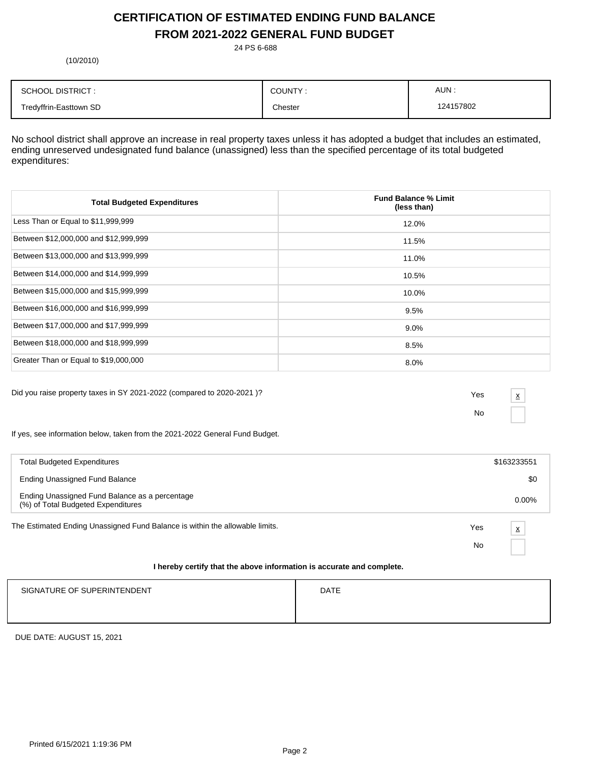# **CERTIFICATION OF ESTIMATED ENDING FUND BALANCE FROM 2021-2022 GENERAL FUND BUDGET**

24 PS 6-688

(10/2010)

| <b>SCHOOL DISTRICT:</b> | COUNTY: | AUN:      |
|-------------------------|---------|-----------|
| Tredyffrin-Easttown SD  | Chester | 124157802 |

No school district shall approve an increase in real property taxes unless it has adopted a budget that includes an estimated, ending unreserved undesignated fund balance (unassigned) less than the specified percentage of its total budgeted expenditures:

| <b>Total Budgeted Expenditures</b>    | <b>Fund Balance % Limit</b><br>(less than) |
|---------------------------------------|--------------------------------------------|
| Less Than or Equal to \$11,999,999    | 12.0%                                      |
| Between \$12,000,000 and \$12,999,999 | 11.5%                                      |
| Between \$13,000,000 and \$13,999,999 | 11.0%                                      |
| Between \$14,000,000 and \$14,999,999 | 10.5%                                      |
| Between \$15,000,000 and \$15,999,999 | 10.0%                                      |
| Between \$16,000,000 and \$16,999,999 | 9.5%                                       |
| Between \$17,000,000 and \$17,999,999 | $9.0\%$                                    |
| Between \$18,000,000 and \$18,999,999 | 8.5%                                       |
| Greater Than or Equal to \$19,000,000 | 8.0%                                       |

Did you raise property taxes in SY 2021-2022 (compared to 2020-2021 )? Yes

No x

If yes, see information below, taken from the 2021-2022 General Fund Budget.

| <b>Total Budgeted Expenditures</b>                                                   |     | \$163233551              |
|--------------------------------------------------------------------------------------|-----|--------------------------|
| Ending Unassigned Fund Balance                                                       |     | \$0                      |
| Ending Unassigned Fund Balance as a percentage<br>(%) of Total Budgeted Expenditures |     | $0.00\%$                 |
| The Estimated Ending Unassigned Fund Balance is within the allowable limits.         | Yes | $\underline{\mathsf{x}}$ |
|                                                                                      | No  |                          |
|                                                                                      |     |                          |

#### **I hereby certify that the above information is accurate and complete.**

| SIGNATURE OF SUPERINTENDENT | <b>DATE</b> |
|-----------------------------|-------------|
|                             |             |
|                             |             |

DUE DATE: AUGUST 15, 2021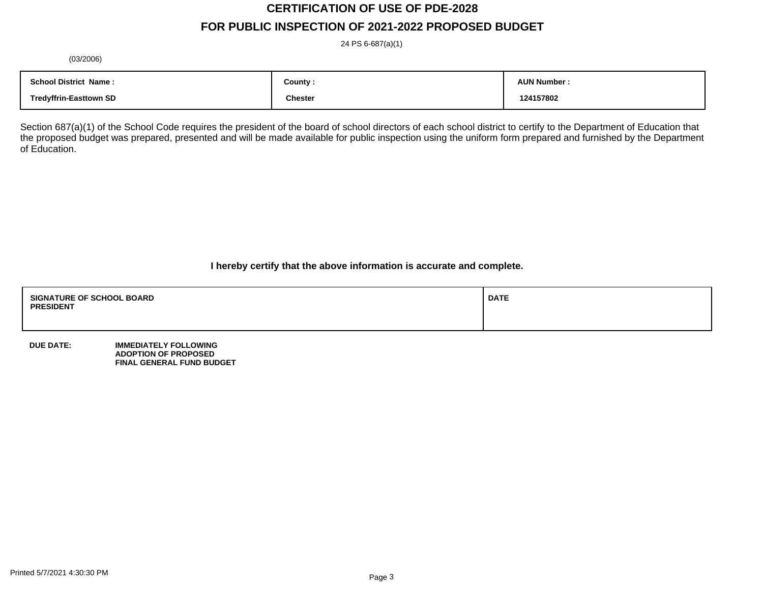# **CERTIFICATION OF USE OF PDE-2028 FOR PUBLIC INSPECTION OF 2021-2022 PROPOSED BUDGET**

24 PS 6-687(a)(1)

(03/2006)

| <b>School District Name:</b>  | County :       | <b>AUN Number</b> |
|-------------------------------|----------------|-------------------|
| <b>Tredyffrin-Easttown SD</b> | <b>Chester</b> | 124157802         |

Section 687(a)(1) of the School Code requires the president of the board of school directors of each school district to certify to the Department of Education that the proposed budget was prepared, presented and will be made available for public inspection using the uniform form prepared and furnished by the Department of Education.

**I hereby certify that the above information is accurate and complete.**

| <b>SIGNATURE OF SCHOOL BOARD</b><br><b>PRESIDENT</b> | <b>DATE</b> |
|------------------------------------------------------|-------------|
|                                                      |             |

**DUE DATE: IMMEDIATELY FOLLOWING ADOPTION OF PROPOSED FINAL GENERAL FUND BUDGET**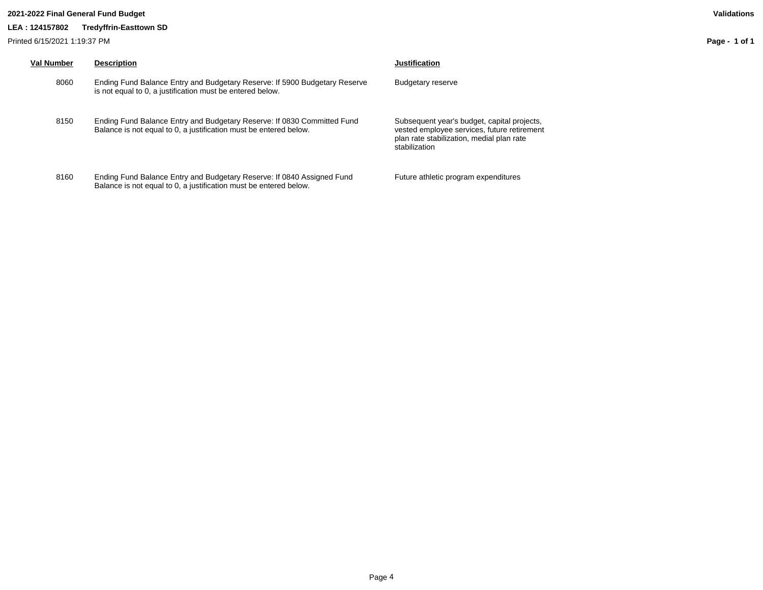### **2021-2022 Final General Fund Budget Validations**

### **LEA : 124157802 Tredyffrin-Easttown SD**

Printed 6/15/2021 1:19:37 PM

| <b>Val Number</b> | <b>Description</b>                                                                                                                           | Justification                                                                                                                                            |
|-------------------|----------------------------------------------------------------------------------------------------------------------------------------------|----------------------------------------------------------------------------------------------------------------------------------------------------------|
| 8060              | Ending Fund Balance Entry and Budgetary Reserve: If 5900 Budgetary Reserve<br>is not equal to 0, a justification must be entered below.      | Budgetary reserve                                                                                                                                        |
| 8150              | Ending Fund Balance Entry and Budgetary Reserve: If 0830 Committed Fund<br>Balance is not equal to 0, a justification must be entered below. | Subsequent year's budget, capital projects,<br>vested employee services, future retirement<br>plan rate stabilization, medial plan rate<br>stabilization |
| 8160              | Ending Fund Balance Entry and Budgetary Reserve: If 0840 Assigned Fund<br>Balance is not equal to 0, a justification must be entered below.  | Future athletic program expenditures                                                                                                                     |

**Page - 1 of 1**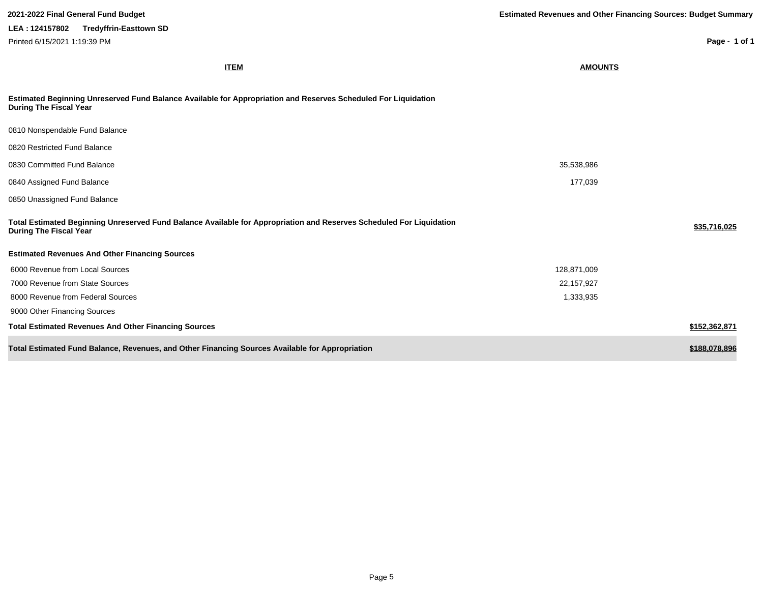| 2021-2022 Final General Fund Budget                                                                                                                   | <b>Estimated Revenues and Other Financing Sources: Budget Summary</b> |
|-------------------------------------------------------------------------------------------------------------------------------------------------------|-----------------------------------------------------------------------|
| LEA: 124157802<br><b>Tredyffrin-Easttown SD</b>                                                                                                       |                                                                       |
| Printed 6/15/2021 1:19:39 PM                                                                                                                          | Page - 1 of 1                                                         |
| <b>ITEM</b>                                                                                                                                           | <b>AMOUNTS</b>                                                        |
| Estimated Beginning Unreserved Fund Balance Available for Appropriation and Reserves Scheduled For Liquidation<br><b>During The Fiscal Year</b>       |                                                                       |
| 0810 Nonspendable Fund Balance                                                                                                                        |                                                                       |
| 0820 Restricted Fund Balance                                                                                                                          |                                                                       |
| 0830 Committed Fund Balance                                                                                                                           | 35,538,986                                                            |
| 0840 Assigned Fund Balance                                                                                                                            | 177,039                                                               |
| 0850 Unassigned Fund Balance                                                                                                                          |                                                                       |
| Total Estimated Beginning Unreserved Fund Balance Available for Appropriation and Reserves Scheduled For Liquidation<br><b>During The Fiscal Year</b> | \$35,716,025                                                          |
| <b>Estimated Revenues And Other Financing Sources</b>                                                                                                 |                                                                       |
| 6000 Revenue from Local Sources                                                                                                                       | 128,871,009                                                           |
| 7000 Revenue from State Sources                                                                                                                       | 22,157,927                                                            |
| 8000 Revenue from Federal Sources                                                                                                                     | 1,333,935                                                             |
| 9000 Other Financing Sources                                                                                                                          |                                                                       |
| <b>Total Estimated Revenues And Other Financing Sources</b>                                                                                           | \$152,362,871                                                         |
| Total Estimated Fund Balance, Revenues, and Other Financing Sources Available for Appropriation                                                       | \$188,078,896                                                         |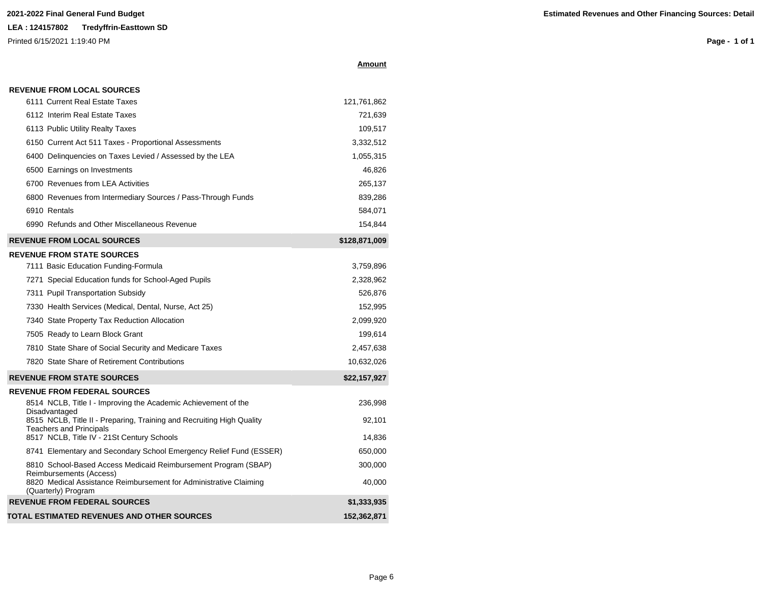**REVENUE FROM LOCAL SOURCES**

Printed 6/15/2021 1:19:40 PM

**Page - 1 of 1**

|--|

| 6111 Current Real Estate Taxes   | 121.761.862 |
|----------------------------------|-------------|
| 6112 Interim Real Estate Taxes   | 721.639     |
| 6113 Public Utility Realty Taxes | 109.517     |

| <b>REVENUE FROM LOCAL SOURCES</b>                            | \$128,871,009 |
|--------------------------------------------------------------|---------------|
| 6990 Refunds and Other Miscellaneous Revenue                 | 154.844       |
| 6910 Rentals                                                 | 584,071       |
| 6800 Revenues from Intermediary Sources / Pass-Through Funds | 839,286       |
| 6700 Revenues from LEA Activities                            | 265,137       |
| 6500 Earnings on Investments                                 | 46.826        |
| 6400 Delinguencies on Taxes Levied / Assessed by the LEA     | 1,055,315     |
| 6150 Current Act 511 Taxes - Proportional Assessments        | 3,332,512     |
| 6113 Public Utility Realty Taxes                             | 109,517       |

### **REVENUE FROM STATE SOURCES**

| 3,759,896    |
|--------------|
| 2,328,962    |
| 526.876      |
| 152.995      |
| 2,099,920    |
| 199.614      |
| 2,457,638    |
| 10.632.026   |
| \$22,157,927 |
|              |

#### **REVENUE FROM FEDERAL SOURCES** 8514 NCLB, Title I - Improving the Academic Achievement of the Disadvantaged 236,998 8515 NCLB, Title II - Preparing, Training and Recruiting High Quality Teachers and Principals 92,101 8517 NCLB, Title IV - 21St Century Schools 14,836 8741 Elementary and Secondary School Emergency Relief Fund (ESSER) 650,000 8810 School-Based Access Medicaid Reimbursement Program (SBAP) Reimbursements (Access) 300,000 8820 Medical Assistance Reimbursement for Administrative Claiming (Quarterly) Program 40,000 **REVENUE FROM FEDERAL SOURCES \$1,333,935 TOTAL ESTIMATED REVENUES AND OTHER SOURCES 152,362,871**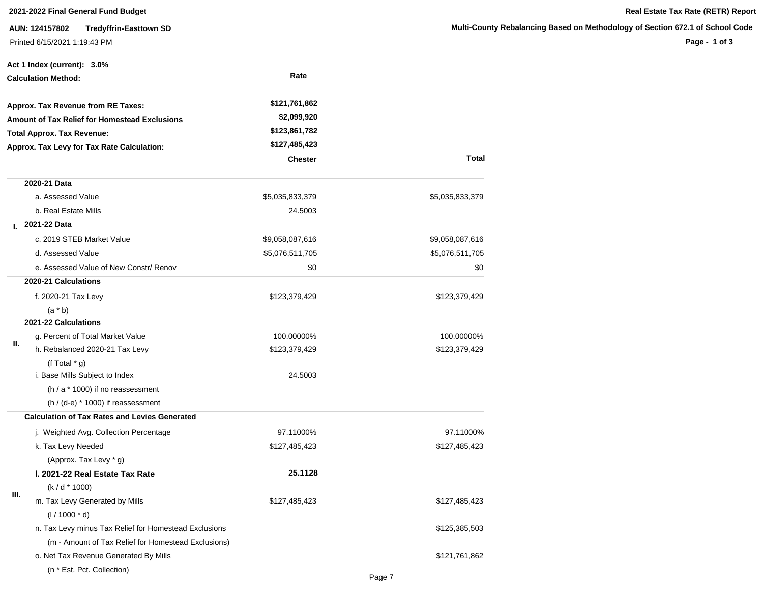**AUN: 124157802 Tredyffrin-Easttown SD** Printed 6/15/2021 1:19:43 PM

**Page - 1 of 3**

|    | Act 1 Index (current): 3.0%                           |                    |                 |
|----|-------------------------------------------------------|--------------------|-----------------|
|    | <b>Calculation Method:</b>                            | Rate               |                 |
|    | Approx. Tax Revenue from RE Taxes:                    | \$121,761,862      |                 |
|    | <b>Amount of Tax Relief for Homestead Exclusions</b>  | <u>\$2,099,920</u> |                 |
|    | <b>Total Approx. Tax Revenue:</b>                     | \$123,861,782      |                 |
|    | Approx. Tax Levy for Tax Rate Calculation:            | \$127,485,423      |                 |
|    |                                                       | <b>Chester</b>     | Total           |
|    | 2020-21 Data                                          |                    |                 |
|    | a. Assessed Value                                     | \$5,035,833,379    | \$5,035,833,379 |
|    | b. Real Estate Mills                                  | 24.5003            |                 |
| L. | 2021-22 Data                                          |                    |                 |
|    | c. 2019 STEB Market Value                             | \$9,058,087,616    | \$9,058,087,616 |
|    | d. Assessed Value                                     | \$5,076,511,705    | \$5,076,511,705 |
|    | e. Assessed Value of New Constr/ Renov                | \$0                | \$0             |
|    | 2020-21 Calculations                                  |                    |                 |
|    | f. 2020-21 Tax Levy                                   | \$123,379,429      | \$123,379,429   |
|    | $(a * b)$                                             |                    |                 |
|    | 2021-22 Calculations                                  |                    |                 |
| Ш. | g. Percent of Total Market Value                      | 100.00000%         | 100.00000%      |
|    | h. Rebalanced 2020-21 Tax Levy                        | \$123,379,429      | \$123,379,429   |
|    | (f Total $*$ g)                                       |                    |                 |
|    | i. Base Mills Subject to Index                        | 24.5003            |                 |
|    | $(h / a * 1000)$ if no reassessment                   |                    |                 |
|    | $(h / (d-e) * 1000)$ if reassessment                  |                    |                 |
|    | <b>Calculation of Tax Rates and Levies Generated</b>  |                    |                 |
|    | j. Weighted Avg. Collection Percentage                | 97.11000%          | 97.11000%       |
|    | k. Tax Levy Needed                                    | \$127,485,423      | \$127,485,423   |
|    | (Approx. Tax Levy * g)                                |                    |                 |
|    | I. 2021-22 Real Estate Tax Rate                       | 25.1128            |                 |
|    | $(k/d * 1000)$                                        |                    |                 |
| Ш. | m. Tax Levy Generated by Mills                        | \$127,485,423      | \$127,485,423   |
|    | $(1/1000 * d)$                                        |                    |                 |
|    | n. Tax Levy minus Tax Relief for Homestead Exclusions |                    | \$125,385,503   |
|    | (m - Amount of Tax Relief for Homestead Exclusions)   |                    |                 |
|    | o. Net Tax Revenue Generated By Mills                 |                    | \$121,761,862   |
|    | (n * Est. Pct. Collection)                            |                    |                 |

Page 7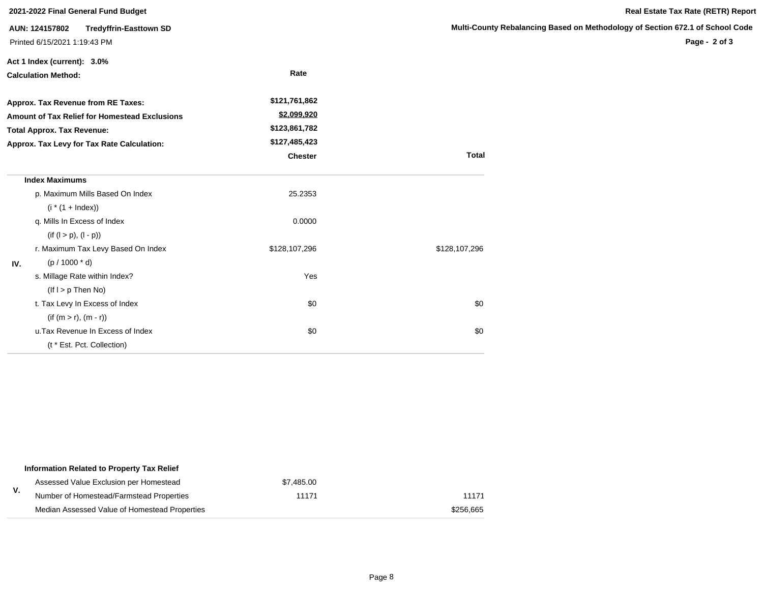|                                   | 2021-2022 Final General Fund Budget           |                |               | Real Estate Tax Rate (RETR) Report                                            |
|-----------------------------------|-----------------------------------------------|----------------|---------------|-------------------------------------------------------------------------------|
| AUN: 124157802                    | <b>Tredyffrin-Easttown SD</b>                 |                |               | Multi-County Rebalancing Based on Methodology of Section 672.1 of School Code |
| Printed 6/15/2021 1:19:43 PM      |                                               |                |               | Page - 2 of 3                                                                 |
| Act 1 Index (current): 3.0%       |                                               |                |               |                                                                               |
| <b>Calculation Method:</b>        |                                               | Rate           |               |                                                                               |
|                                   | Approx. Tax Revenue from RE Taxes:            | \$121,761,862  |               |                                                                               |
|                                   | Amount of Tax Relief for Homestead Exclusions | \$2,099,920    |               |                                                                               |
| <b>Total Approx. Tax Revenue:</b> |                                               | \$123,861,782  |               |                                                                               |
|                                   | Approx. Tax Levy for Tax Rate Calculation:    | \$127,485,423  |               |                                                                               |
|                                   |                                               | <b>Chester</b> | <b>Total</b>  |                                                                               |
| <b>Index Maximums</b>             |                                               |                |               |                                                                               |
|                                   | p. Maximum Mills Based On Index               | 25.2353        |               |                                                                               |
|                                   | $(i * (1 + Index))$                           |                |               |                                                                               |
|                                   | q. Mills In Excess of Index                   | 0.0000         |               |                                                                               |
|                                   | $(if (l > p), (l - p))$                       |                |               |                                                                               |
|                                   | r. Maximum Tax Levy Based On Index            | \$128,107,296  | \$128,107,296 |                                                                               |
| IV.                               | $(p / 1000 * d)$                              |                |               |                                                                               |
|                                   | s. Millage Rate within Index?                 | Yes            |               |                                                                               |
|                                   | $($ lf I > p Then No $)$                      |                |               |                                                                               |
|                                   | t. Tax Levy In Excess of Index                | \$0            | \$0           |                                                                               |
|                                   | $(if (m > r), (m - r))$                       |                |               |                                                                               |
|                                   | u. Tax Revenue In Excess of Index             | \$0            | \$0           |                                                                               |
|                                   | (t * Est. Pct. Collection)                    |                |               |                                                                               |

|  |  | Real Estate Tax Rate (RETR) Repor |
|--|--|-----------------------------------|
|  |  |                                   |

#### **Multimary Based on Methodology of Section 672.1 of School Code**

|    | Information Related to Property Tax Relief    |            |           |  |
|----|-----------------------------------------------|------------|-----------|--|
|    | Assessed Value Exclusion per Homestead        | \$7,485.00 |           |  |
| V. | Number of Homestead/Farmstead Properties      | 11171      | 11171     |  |
|    | Median Assessed Value of Homestead Properties |            | \$256.665 |  |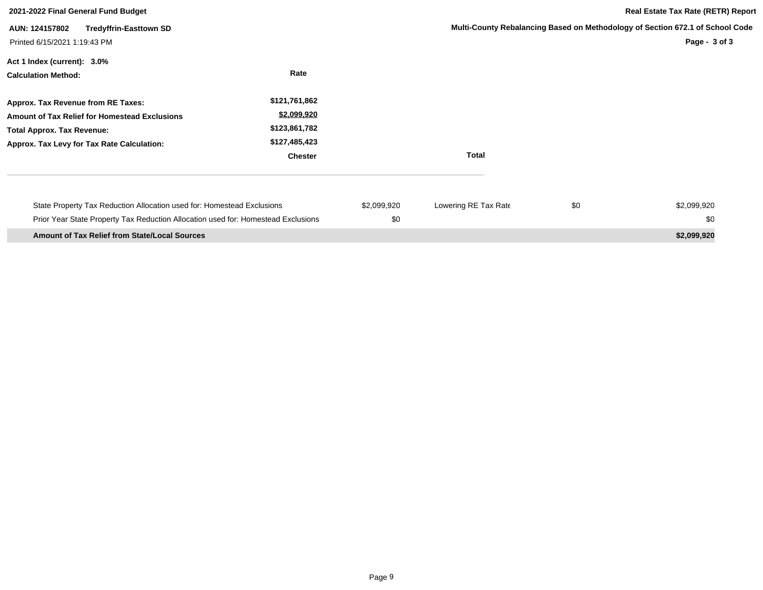| 2021-2022 Final General Fund Budget                                                                                                                                           |                                                                                  |                    |                      |     | <b>Real Estate Tax Rate (RETR) Report</b>                                                      |
|-------------------------------------------------------------------------------------------------------------------------------------------------------------------------------|----------------------------------------------------------------------------------|--------------------|----------------------|-----|------------------------------------------------------------------------------------------------|
| <b>Tredyffrin-Easttown SD</b><br>AUN: 124157802<br>Printed 6/15/2021 1:19:43 PM                                                                                               |                                                                                  |                    |                      |     | Multi-County Rebalancing Based on Methodology of Section 672.1 of School Code<br>Page - 3 of 3 |
| Act 1 Index (current): 3.0%<br><b>Calculation Method:</b>                                                                                                                     | Rate                                                                             |                    |                      |     |                                                                                                |
| Approx. Tax Revenue from RE Taxes:<br><b>Amount of Tax Relief for Homestead Exclusions</b><br><b>Total Approx. Tax Revenue:</b><br>Approx. Tax Levy for Tax Rate Calculation: | \$121,761,862<br>\$2,099,920<br>\$123,861,782<br>\$127,485,423<br><b>Chester</b> |                    | <b>Total</b>         |     |                                                                                                |
| State Property Tax Reduction Allocation used for: Homestead Exclusions<br>Prior Year State Property Tax Reduction Allocation used for: Homestead Exclusions                   |                                                                                  | \$2,099,920<br>\$0 | Lowering RE Tax Rate | \$0 | \$2,099,920<br>\$0                                                                             |
| <b>Amount of Tax Relief from State/Local Sources</b>                                                                                                                          |                                                                                  |                    |                      |     | \$2,099,920                                                                                    |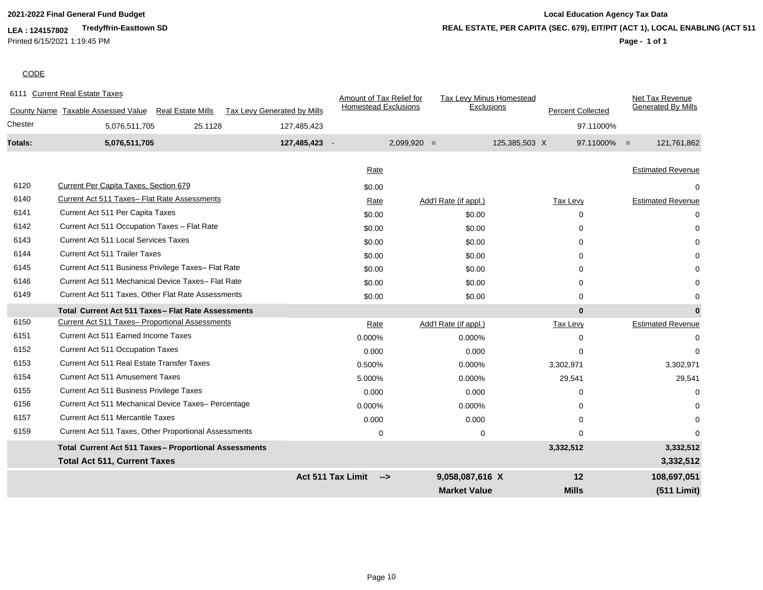# **2021-2022 Final General Fund Budget Local Education Agency Tax Data REAL ESTATE, PER CAPITA (SEC. 679), EIT/PIT (ACT 1), LOCAL ENABLING (ACT 511)**

#### **Page - 1 of 1**

#### **CODE**

|         | 6111 Current Real Estate Taxes                        |                          |                                    | Amount of Tax Relief for    |                       | Tax Levy Minus Homestead        | Net Tax Revenue               |
|---------|-------------------------------------------------------|--------------------------|------------------------------------|-----------------------------|-----------------------|---------------------------------|-------------------------------|
|         | County Name Taxable Assessed Value                    | <b>Real Estate Mills</b> | <b>Tax Levy Generated by Mills</b> | <b>Homestead Exclusions</b> |                       | Exclusions<br>Percent Collected | <b>Generated By Mills</b>     |
| Chester | 5,076,511,705                                         | 25.1128                  | 127,485,423                        |                             |                       |                                 | 97.11000%                     |
| Totals: | 5,076,511,705                                         |                          | 127,485,423 -                      |                             | $2,099,920 =$         | 125,385,503 X                   | $97.11000\% =$<br>121,761,862 |
|         |                                                       |                          |                                    | Rate                        |                       |                                 | <b>Estimated Revenue</b>      |
| 6120    | Current Per Capita Taxes, Section 679                 |                          |                                    |                             |                       |                                 |                               |
| 6140    |                                                       |                          |                                    | \$0.00                      |                       |                                 | 0                             |
|         | Current Act 511 Taxes- Flat Rate Assessments          |                          |                                    | Rate                        | Add'l Rate (if appl.) | Tax Levy                        | <b>Estimated Revenue</b>      |
| 6141    | Current Act 511 Per Capita Taxes                      |                          |                                    | \$0.00                      | \$0.00                | $\Omega$                        | 0                             |
| 6142    | Current Act 511 Occupation Taxes - Flat Rate          |                          |                                    | \$0.00                      | \$0.00                | $\Omega$                        | 0                             |
| 6143    | Current Act 511 Local Services Taxes                  |                          |                                    | \$0.00                      | \$0.00                | $\Omega$                        |                               |
| 6144    | <b>Current Act 511 Trailer Taxes</b>                  |                          |                                    | \$0.00                      | \$0.00                | $\Omega$                        |                               |
| 6145    | Current Act 511 Business Privilege Taxes- Flat Rate   |                          |                                    | \$0.00                      | \$0.00                | $\Omega$                        |                               |
| 6146    | Current Act 511 Mechanical Device Taxes- Flat Rate    |                          |                                    | \$0.00                      | \$0.00                | $\Omega$                        |                               |
| 6149    | Current Act 511 Taxes, Other Flat Rate Assessments    |                          |                                    | \$0.00                      | \$0.00                | $\Omega$                        |                               |
|         | Total Current Act 511 Taxes - Flat Rate Assessments   |                          |                                    |                             |                       | $\bf{0}$                        | $\bf{0}$                      |
| 6150    | Current Act 511 Taxes- Proportional Assessments       |                          |                                    | Rate                        | Add'l Rate (if appl.) | Tax Levy                        | <b>Estimated Revenue</b>      |
| 6151    | <b>Current Act 511 Earned Income Taxes</b>            |                          |                                    | 0.000%                      | 0.000%                | $\Omega$                        | 0                             |
| 6152    | <b>Current Act 511 Occupation Taxes</b>               |                          |                                    | 0.000                       | 0.000                 | $\Omega$                        | $\Omega$                      |
| 6153    | Current Act 511 Real Estate Transfer Taxes            |                          |                                    | 0.500%                      | 0.000%                | 3,302,971                       | 3,302,971                     |
| 6154    | <b>Current Act 511 Amusement Taxes</b>                |                          |                                    | 5.000%                      | 0.000%                | 29,541                          | 29,541                        |
| 6155    | Current Act 511 Business Privilege Taxes              |                          |                                    | 0.000                       | 0.000                 | O                               | $\Omega$                      |
| 6156    | Current Act 511 Mechanical Device Taxes- Percentage   |                          |                                    | 0.000%                      | 0.000%                | $\Omega$                        | 0                             |
| 6157    | Current Act 511 Mercantile Taxes                      |                          |                                    | 0.000                       | 0.000                 | $\Omega$                        | 0                             |
| 6159    | Current Act 511 Taxes, Other Proportional Assessments |                          |                                    | $\mathbf 0$                 | $\mathbf 0$           | $\Omega$                        | $\Omega$                      |
|         | Total Current Act 511 Taxes- Proportional Assessments |                          |                                    |                             |                       | 3,332,512                       | 3,332,512                     |
|         | <b>Total Act 511, Current Taxes</b>                   |                          |                                    |                             |                       |                                 | 3,332,512                     |
|         |                                                       |                          |                                    | Act 511 Tax Limit<br>-->    | 9,058,087,616 X       | 12                              | 108,697,051                   |
|         |                                                       |                          |                                    |                             | <b>Market Value</b>   | <b>Mills</b>                    | (511 Limit)                   |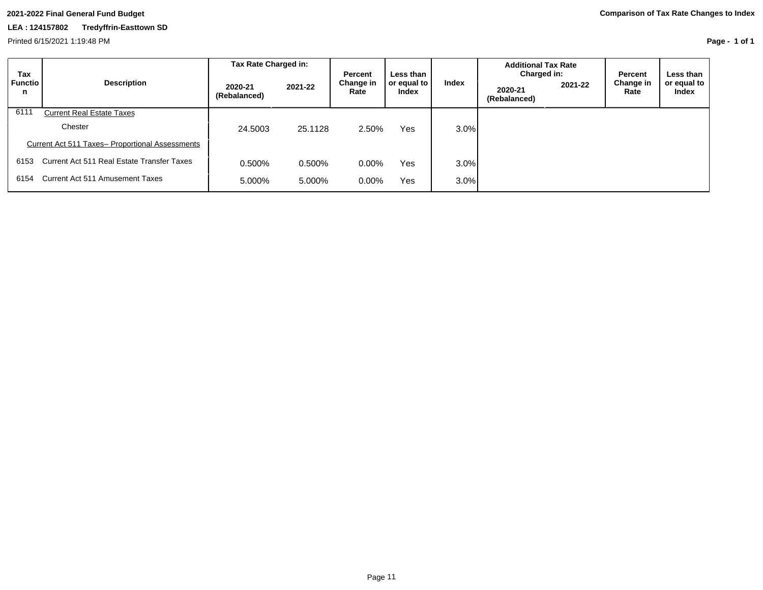Printed 6/15/2021 1:19:48 PM

**Page - 1 of 1**

| Tax                 |                                                 | Tax Rate Charged in:    |         | <b>Percent</b>    | Less than            |         | <b>Additional Tax Rate</b><br>Charged in: |         | Percent           | Less than I          |
|---------------------|-------------------------------------------------|-------------------------|---------|-------------------|----------------------|---------|-------------------------------------------|---------|-------------------|----------------------|
| <b>Functio</b><br>n | <b>Description</b>                              | 2020-21<br>(Rebalanced) | 2021-22 | Change in<br>Rate | or equal to<br>Index | Index   | 2020-21<br>(Rebalanced)                   | 2021-22 | Change in<br>Rate | or equal to<br>Index |
| 6111                | <b>Current Real Estate Taxes</b>                |                         |         |                   |                      |         |                                           |         |                   |                      |
|                     | Chester                                         | 24,5003                 | 25.1128 | 2.50%             | Yes                  | $3.0\%$ |                                           |         |                   |                      |
|                     | Current Act 511 Taxes- Proportional Assessments |                         |         |                   |                      |         |                                           |         |                   |                      |
| 6153                | Current Act 511 Real Estate Transfer Taxes      | 0.500%                  | 0.500%  | 0.00%             | Yes                  | $3.0\%$ |                                           |         |                   |                      |
| 6154                | Current Act 511 Amusement Taxes                 | 5.000%                  | 5.000%  | $0.00\%$          | Yes                  | $3.0\%$ |                                           |         |                   |                      |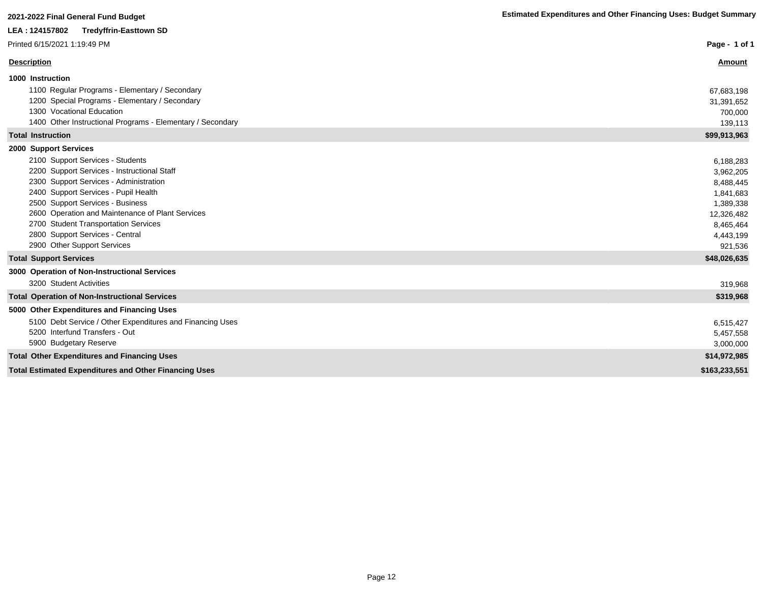| LEA : 124157802<br><b>Tredyffrin-Easttown SD</b>             |               |
|--------------------------------------------------------------|---------------|
| Printed 6/15/2021 1:19:49 PM                                 | Page - 1 of 1 |
| <b>Description</b>                                           | Amount        |
| 1000 Instruction                                             |               |
| 1100 Regular Programs - Elementary / Secondary               | 67,683,198    |
| 1200 Special Programs - Elementary / Secondary               | 31,391,652    |
| 1300 Vocational Education                                    | 700,000       |
| 1400 Other Instructional Programs - Elementary / Secondary   | 139,113       |
| <b>Total Instruction</b>                                     | \$99,913,963  |
| 2000 Support Services                                        |               |
| 2100 Support Services - Students                             | 6,188,283     |
| 2200 Support Services - Instructional Staff                  | 3,962,205     |
| 2300 Support Services - Administration                       | 8,488,445     |
| 2400 Support Services - Pupil Health                         | 1,841,683     |
| 2500 Support Services - Business                             | 1,389,338     |
| 2600 Operation and Maintenance of Plant Services             | 12,326,482    |
| 2700 Student Transportation Services                         | 8,465,464     |
| 2800 Support Services - Central                              | 4,443,199     |
| 2900 Other Support Services                                  | 921,536       |
| <b>Total Support Services</b>                                | \$48,026,635  |
| 3000 Operation of Non-Instructional Services                 |               |
| 3200 Student Activities                                      | 319,968       |
| <b>Total Operation of Non-Instructional Services</b>         | \$319,968     |
| 5000 Other Expenditures and Financing Uses                   |               |
| 5100 Debt Service / Other Expenditures and Financing Uses    | 6,515,427     |
| 5200 Interfund Transfers - Out                               | 5,457,558     |
| 5900 Budgetary Reserve                                       | 3,000,000     |
| <b>Total Other Expenditures and Financing Uses</b>           | \$14,972,985  |
| <b>Total Estimated Expenditures and Other Financing Uses</b> | \$163,233,551 |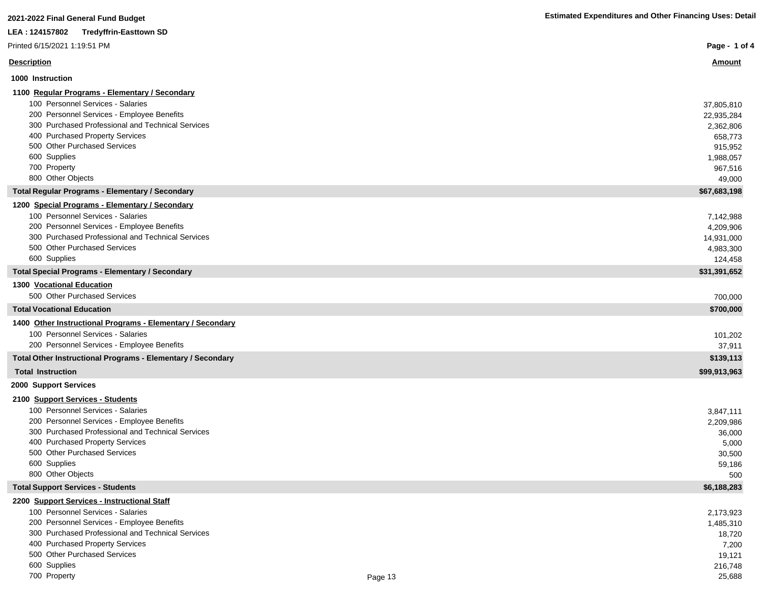| 2021-2022 Final General Fund Budget                                             | <b>Estimated Expenditures and Other Financing Uses: Detail</b> |
|---------------------------------------------------------------------------------|----------------------------------------------------------------|
| LEA: 124157802<br><b>Tredyffrin-Easttown SD</b>                                 |                                                                |
| Printed 6/15/2021 1:19:51 PM                                                    | Page - 1 of 4                                                  |
| <b>Description</b>                                                              | <u>Amount</u>                                                  |
| 1000 Instruction                                                                |                                                                |
| 1100 Regular Programs - Elementary / Secondary                                  |                                                                |
| 100 Personnel Services - Salaries                                               | 37,805,810                                                     |
| 200 Personnel Services - Employee Benefits                                      | 22,935,284                                                     |
| 300 Purchased Professional and Technical Services                               | 2,362,806                                                      |
| 400 Purchased Property Services<br>500 Other Purchased Services                 | 658,773                                                        |
| 600 Supplies                                                                    | 915,952                                                        |
| 700 Property                                                                    | 1,988,057<br>967,516                                           |
| 800 Other Objects                                                               | 49,000                                                         |
| <b>Total Regular Programs - Elementary / Secondary</b>                          | \$67,683,198                                                   |
| 1200 Special Programs - Elementary / Secondary                                  |                                                                |
| 100 Personnel Services - Salaries                                               | 7,142,988                                                      |
| 200 Personnel Services - Employee Benefits                                      | 4,209,906                                                      |
| 300 Purchased Professional and Technical Services                               | 14,931,000                                                     |
| 500 Other Purchased Services                                                    | 4,983,300                                                      |
| 600 Supplies                                                                    | 124,458                                                        |
| <b>Total Special Programs - Elementary / Secondary</b>                          | \$31,391,652                                                   |
| 1300 Vocational Education                                                       |                                                                |
| 500 Other Purchased Services                                                    | 700,000                                                        |
| <b>Total Vocational Education</b>                                               | \$700,000                                                      |
| 1400 Other Instructional Programs - Elementary / Secondary                      |                                                                |
| 100 Personnel Services - Salaries                                               | 101,202                                                        |
| 200 Personnel Services - Employee Benefits                                      | 37,911                                                         |
| Total Other Instructional Programs - Elementary / Secondary                     | \$139,113                                                      |
| <b>Total Instruction</b>                                                        | \$99,913,963                                                   |
| 2000 Support Services                                                           |                                                                |
| 2100 Support Services - Students                                                |                                                                |
| 100 Personnel Services - Salaries<br>200 Personnel Services - Employee Benefits | 3,847,111                                                      |
| 300 Purchased Professional and Technical Services                               | 2,209,986                                                      |
| 400 Purchased Property Services                                                 | 36,000<br>5,000                                                |
| 500 Other Purchased Services                                                    | 30,500                                                         |
| 600 Supplies                                                                    | 59,186                                                         |
| 800 Other Objects                                                               | 500                                                            |
| <b>Total Support Services - Students</b>                                        | \$6,188,283                                                    |
| 2200 Support Services - Instructional Staff                                     |                                                                |
| 100 Personnel Services - Salaries                                               | 2,173,923                                                      |
| 200 Personnel Services - Employee Benefits                                      | 1,485,310                                                      |
| 300 Purchased Professional and Technical Services                               | 18,720                                                         |
| 400 Purchased Property Services                                                 | 7,200                                                          |
| 500 Other Purchased Services                                                    | 19,121                                                         |
| 600 Supplies                                                                    | 216,748                                                        |

The Property and the control of the control of the Page 13 and the control of the control of the control of the control of the control of the control of the control of the control of the control of the control of the contr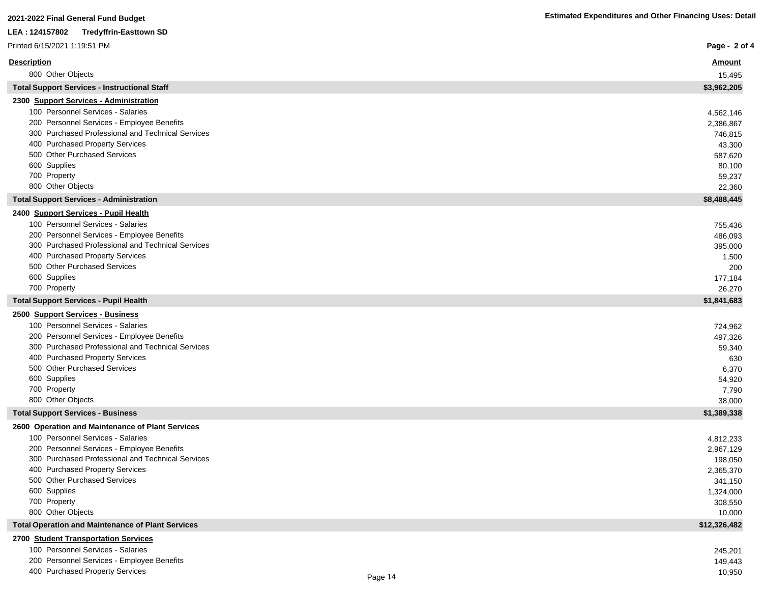| LEA: 124157802<br><b>Tredyffrin-Easttown SD</b>                                      |                       |
|--------------------------------------------------------------------------------------|-----------------------|
| Printed 6/15/2021 1:19:51 PM                                                         | Page - 2 of 4         |
| <b>Description</b>                                                                   | <u>Amount</u>         |
| 800 Other Objects                                                                    | 15,495                |
| <b>Total Support Services - Instructional Staff</b>                                  | \$3,962,205           |
| 2300 Support Services - Administration                                               |                       |
| 100 Personnel Services - Salaries                                                    | 4,562,146             |
| 200 Personnel Services - Employee Benefits                                           | 2,386,867             |
| 300 Purchased Professional and Technical Services                                    | 746,815               |
| 400 Purchased Property Services                                                      | 43,300                |
| 500 Other Purchased Services                                                         | 587,620               |
| 600 Supplies<br>700 Property                                                         | 80,100<br>59,237      |
| 800 Other Objects                                                                    | 22,360                |
| <b>Total Support Services - Administration</b>                                       | \$8,488,445           |
| 2400 Support Services - Pupil Health                                                 |                       |
| 100 Personnel Services - Salaries                                                    | 755,436               |
| 200 Personnel Services - Employee Benefits                                           | 486,093               |
| 300 Purchased Professional and Technical Services                                    | 395,000               |
| 400 Purchased Property Services                                                      | 1,500                 |
| 500 Other Purchased Services                                                         | 200                   |
| 600 Supplies<br>700 Property                                                         | 177,184               |
|                                                                                      | 26,270<br>\$1,841,683 |
| <b>Total Support Services - Pupil Health</b>                                         |                       |
| 2500 Support Services - Business<br>100 Personnel Services - Salaries                |                       |
| 200 Personnel Services - Employee Benefits                                           | 724,962               |
| 300 Purchased Professional and Technical Services                                    | 497,326<br>59,340     |
| 400 Purchased Property Services                                                      | 630                   |
| 500 Other Purchased Services                                                         | 6,370                 |
| 600 Supplies                                                                         | 54,920                |
| 700 Property                                                                         | 7,790                 |
| 800 Other Objects                                                                    | 38,000                |
| <b>Total Support Services - Business</b>                                             | \$1,389,338           |
| 2600 Operation and Maintenance of Plant Services                                     |                       |
| 100 Personnel Services - Salaries                                                    | 4,812,233             |
| 200 Personnel Services - Employee Benefits                                           | 2,967,129             |
| 300 Purchased Professional and Technical Services<br>400 Purchased Property Services | 198,050<br>2,365,370  |
| 500 Other Purchased Services                                                         | 341,150               |
| 600 Supplies                                                                         | 1,324,000             |
| 700 Property                                                                         | 308,550               |
| 800 Other Objects                                                                    | 10,000                |
| <b>Total Operation and Maintenance of Plant Services</b>                             | \$12,326,482          |
| 2700 Student Transportation Services                                                 |                       |
| 100 Personnel Services - Salaries                                                    | 245,201               |
| 200 Personnel Services - Employee Benefits<br>400 Purchased Property Services        | 149,443               |
| Page 14                                                                              | 10,950                |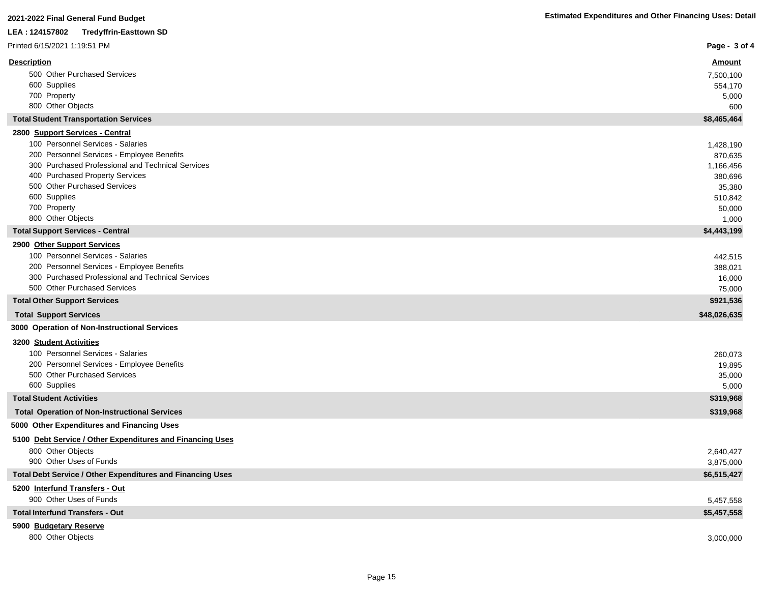| Printed 6/15/2021 1:19:51 PM                                                         | Page - 3 of 4     |
|--------------------------------------------------------------------------------------|-------------------|
| <b>Description</b>                                                                   | <b>Amount</b>     |
| 500 Other Purchased Services                                                         | 7,500,100         |
| 600 Supplies                                                                         | 554,170           |
| 700 Property                                                                         | 5,000             |
| 800 Other Objects                                                                    | 600               |
| <b>Total Student Transportation Services</b>                                         | \$8,465,464       |
| 2800 Support Services - Central                                                      |                   |
| 100 Personnel Services - Salaries                                                    | 1,428,190         |
| 200 Personnel Services - Employee Benefits                                           | 870,635           |
| 300 Purchased Professional and Technical Services<br>400 Purchased Property Services | 1,166,456         |
| 500 Other Purchased Services                                                         | 380,696<br>35,380 |
| 600 Supplies                                                                         | 510,842           |
| 700 Property                                                                         | 50,000            |
| 800 Other Objects                                                                    | 1,000             |
| <b>Total Support Services - Central</b>                                              | \$4,443,199       |
| 2900 Other Support Services                                                          |                   |
| 100 Personnel Services - Salaries                                                    | 442,515           |
| 200 Personnel Services - Employee Benefits                                           | 388,021           |
| 300 Purchased Professional and Technical Services                                    | 16,000            |
| 500 Other Purchased Services                                                         | 75,000            |
| <b>Total Other Support Services</b>                                                  | \$921,536         |
| <b>Total Support Services</b>                                                        | \$48,026,635      |
| 3000 Operation of Non-Instructional Services                                         |                   |
| 3200 Student Activities                                                              |                   |
| 100 Personnel Services - Salaries                                                    | 260,073           |
| 200 Personnel Services - Employee Benefits                                           | 19,895            |
| 500 Other Purchased Services                                                         | 35,000            |
| 600 Supplies                                                                         | 5,000             |
| <b>Total Student Activities</b>                                                      | \$319,968         |
| <b>Total Operation of Non-Instructional Services</b>                                 | \$319,968         |
| 5000 Other Expenditures and Financing Uses                                           |                   |
| 5100 Debt Service / Other Expenditures and Financing Uses                            |                   |
| 800 Other Objects                                                                    | 2,640,427         |
| 900 Other Uses of Funds                                                              | 3,875,000         |
| <b>Total Debt Service / Other Expenditures and Financing Uses</b>                    | \$6,515,427       |
| 5200 Interfund Transfers - Out                                                       |                   |
| 900 Other Uses of Funds                                                              | 5,457,558         |
| <b>Total Interfund Transfers - Out</b>                                               | \$5,457,558       |
| 5900 Budgetary Reserve                                                               |                   |
| 800 Other Objects                                                                    | 3,000,000         |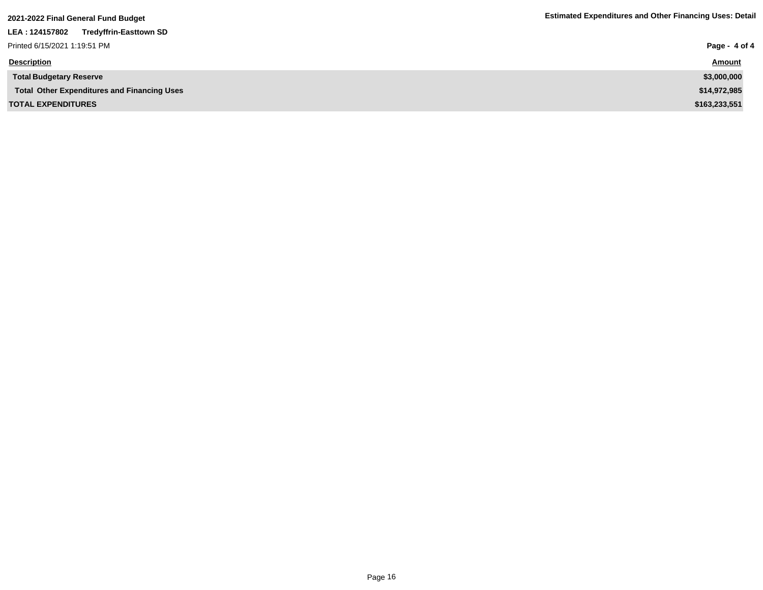| 2021-2022 Final General Fund Budget                | <b>Estimated Expenditures and Other Financing Uses: Detail</b> |  |
|----------------------------------------------------|----------------------------------------------------------------|--|
| LEA: 124157802<br><b>Tredyffrin-Easttown SD</b>    |                                                                |  |
| Printed 6/15/2021 1:19:51 PM                       | Page - 4 of 4                                                  |  |
| <b>Description</b>                                 | <b>Amount</b>                                                  |  |
| <b>Total Budgetary Reserve</b>                     | \$3,000,000                                                    |  |
| <b>Total Other Expenditures and Financing Uses</b> | \$14,972,985                                                   |  |
| <b>TOTAL EXPENDITURES</b>                          | \$163,233,551                                                  |  |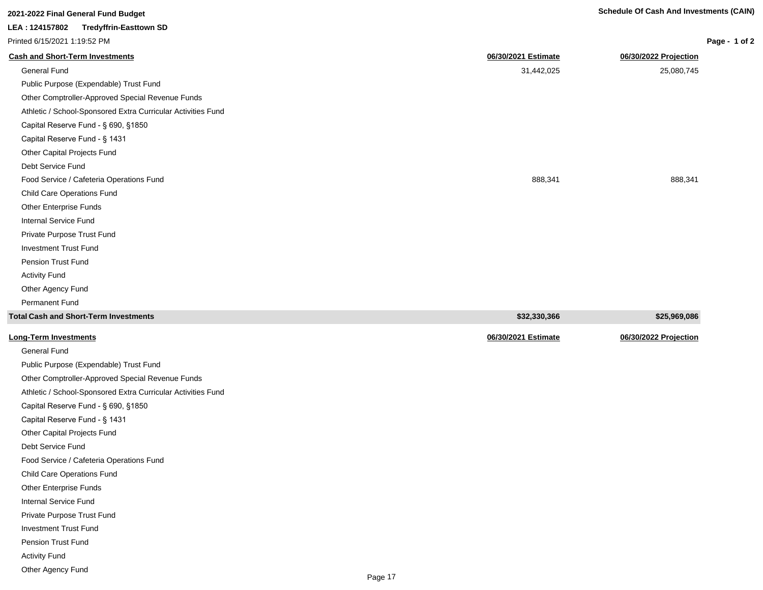| 2021-2022 Final General Fund Budget                          | <b>Schedule Of Cash And Investments (CAIN)</b> |                       |
|--------------------------------------------------------------|------------------------------------------------|-----------------------|
| LEA: 124157802<br><b>Tredyffrin-Easttown SD</b>              |                                                |                       |
| Printed 6/15/2021 1:19:52 PM                                 |                                                | Page - 1 of 2         |
| <b>Cash and Short-Term Investments</b>                       | 06/30/2021 Estimate                            | 06/30/2022 Projection |
| <b>General Fund</b>                                          | 31,442,025                                     | 25,080,745            |
| Public Purpose (Expendable) Trust Fund                       |                                                |                       |
| Other Comptroller-Approved Special Revenue Funds             |                                                |                       |
| Athletic / School-Sponsored Extra Curricular Activities Fund |                                                |                       |
| Capital Reserve Fund - § 690, §1850                          |                                                |                       |
| Capital Reserve Fund - § 1431                                |                                                |                       |
| Other Capital Projects Fund                                  |                                                |                       |
| Debt Service Fund                                            |                                                |                       |
| Food Service / Cafeteria Operations Fund                     | 888,341                                        | 888,341               |
| <b>Child Care Operations Fund</b>                            |                                                |                       |
| Other Enterprise Funds                                       |                                                |                       |
| Internal Service Fund                                        |                                                |                       |
| Private Purpose Trust Fund                                   |                                                |                       |
| <b>Investment Trust Fund</b>                                 |                                                |                       |
| Pension Trust Fund                                           |                                                |                       |
| <b>Activity Fund</b>                                         |                                                |                       |
| Other Agency Fund                                            |                                                |                       |

| Total Cash and Short-Term Investments  | \$32,330,366        | \$25,969,086          |
|----------------------------------------|---------------------|-----------------------|
| <u> Long-Term Investments</u>          | 06/30/2021 Estimate | 06/30/2022 Projection |
| General Fund                           |                     |                       |
| Public Purpose (Expendable) Trust Fund |                     |                       |

Permanent Fund

Debt Service Fund

Child Care Operations Fund Other Enterprise Funds Internal Service Fund Private Purpose Trust Fund Investment Trust Fund Pension Trust Fund Activity Fund Other Agency Fund

Other Comptroller-Approved Special Revenue Funds Athletic / School-Sponsored Extra Curricular Activities Fund

Capital Reserve Fund - § 690, §1850 Capital Reserve Fund - § 1431 Other Capital Projects Fund

Food Service / Cafeteria Operations Fund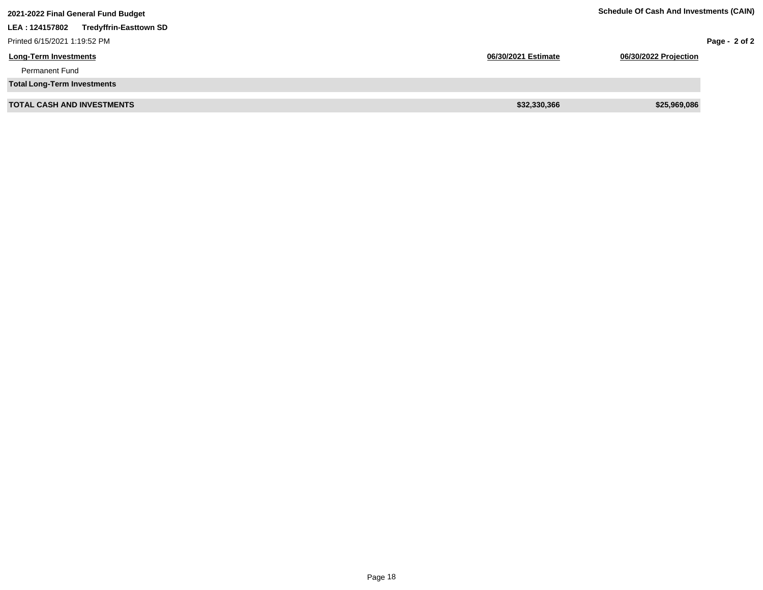| 2021-2022 Final General Fund Budget              | <b>Schedule Of Cash And Investments (CAIN)</b> |                       |               |
|--------------------------------------------------|------------------------------------------------|-----------------------|---------------|
| <b>Tredyffrin-Easttown SD</b><br>LEA : 124157802 |                                                |                       |               |
| Printed 6/15/2021 1:19:52 PM                     |                                                |                       | Page - 2 of 2 |
| <b>Long-Term Investments</b>                     | 06/30/2021 Estimate                            | 06/30/2022 Projection |               |
| <b>Permanent Fund</b>                            |                                                |                       |               |
| <b>Total Long-Term Investments</b>               |                                                |                       |               |
| <b>TOTAL CASH AND INVESTMENTS</b>                | \$32,330,366                                   | \$25,969,086          |               |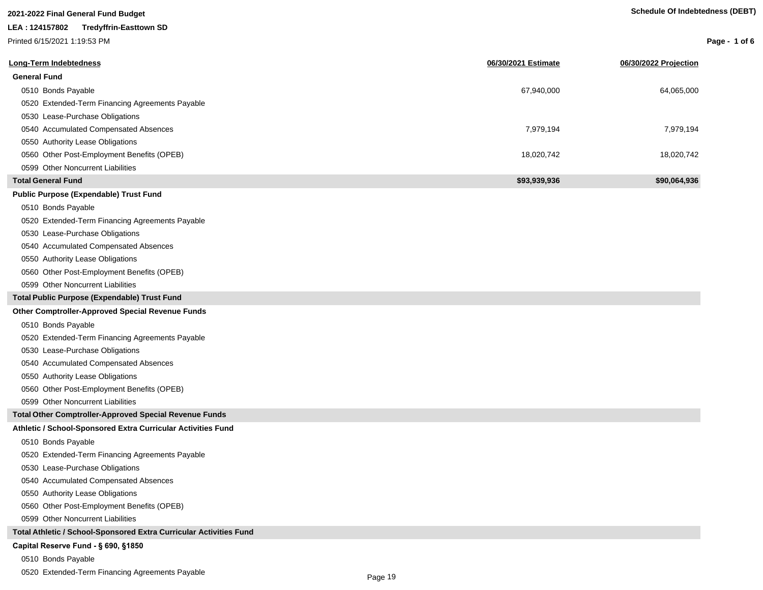# **2021-2022 Final General Fund Budget**

### **LEA : 124157802 Tredyffrin-Easttown SD**

Printed 6/15/2021 1:19:53 PM

**Page - 1 of 6**

| <b>Long-Term Indebtedness</b>                                      | 06/30/2021 Estimate | 06/30/2022 Projection |
|--------------------------------------------------------------------|---------------------|-----------------------|
| <b>General Fund</b>                                                |                     |                       |
| 0510 Bonds Payable                                                 | 67,940,000          | 64,065,000            |
| 0520 Extended-Term Financing Agreements Payable                    |                     |                       |
| 0530 Lease-Purchase Obligations                                    |                     |                       |
| 0540 Accumulated Compensated Absences                              | 7,979,194           | 7,979,194             |
| 0550 Authority Lease Obligations                                   |                     |                       |
| 0560 Other Post-Employment Benefits (OPEB)                         | 18,020,742          | 18,020,742            |
| 0599 Other Noncurrent Liabilities                                  |                     |                       |
| <b>Total General Fund</b>                                          | \$93,939,936        | \$90,064,936          |
| <b>Public Purpose (Expendable) Trust Fund</b>                      |                     |                       |
| 0510 Bonds Payable                                                 |                     |                       |
| 0520 Extended-Term Financing Agreements Payable                    |                     |                       |
| 0530 Lease-Purchase Obligations                                    |                     |                       |
| 0540 Accumulated Compensated Absences                              |                     |                       |
| 0550 Authority Lease Obligations                                   |                     |                       |
| 0560 Other Post-Employment Benefits (OPEB)                         |                     |                       |
| 0599 Other Noncurrent Liabilities                                  |                     |                       |
| Total Public Purpose (Expendable) Trust Fund                       |                     |                       |
| <b>Other Comptroller-Approved Special Revenue Funds</b>            |                     |                       |
| 0510 Bonds Payable                                                 |                     |                       |
| 0520 Extended-Term Financing Agreements Payable                    |                     |                       |
| 0530 Lease-Purchase Obligations                                    |                     |                       |
| 0540 Accumulated Compensated Absences                              |                     |                       |
| 0550 Authority Lease Obligations                                   |                     |                       |
| 0560 Other Post-Employment Benefits (OPEB)                         |                     |                       |
| 0599 Other Noncurrent Liabilities                                  |                     |                       |
| <b>Total Other Comptroller-Approved Special Revenue Funds</b>      |                     |                       |
| Athletic / School-Sponsored Extra Curricular Activities Fund       |                     |                       |
| 0510 Bonds Payable                                                 |                     |                       |
| 0520 Extended-Term Financing Agreements Payable                    |                     |                       |
| 0530 Lease-Purchase Obligations                                    |                     |                       |
| 0540 Accumulated Compensated Absences                              |                     |                       |
| 0550 Authority Lease Obligations                                   |                     |                       |
| 0560 Other Post-Employment Benefits (OPEB)                         |                     |                       |
| 0599 Other Noncurrent Liabilities                                  |                     |                       |
| Total Athletic / School-Sponsored Extra Curricular Activities Fund |                     |                       |
| Capital Reserve Fund - § 690, §1850                                |                     |                       |

- 0510 Bonds Payable
- 0520 Extended-Term Financing Agreements Payable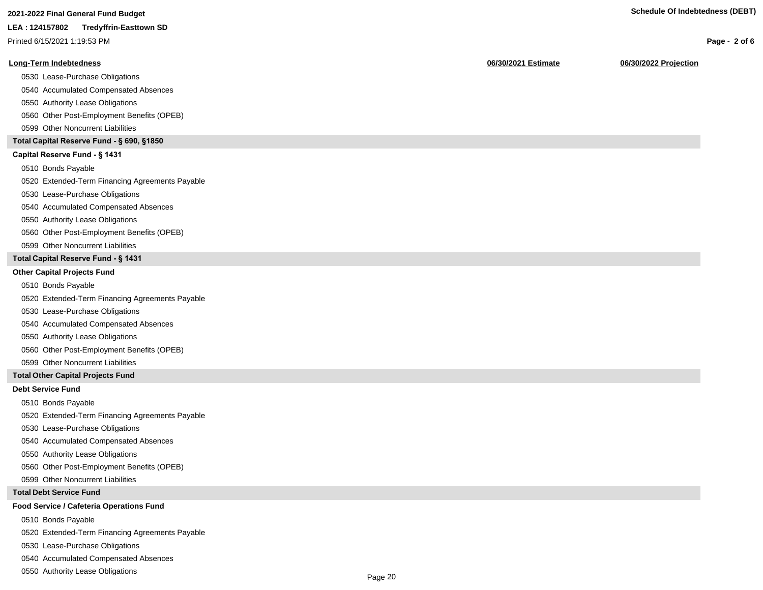Printed 6/15/2021 1:19:53 PM

#### **Long-Term Indebtedness 06/30/2021 Estimate 06/30/2022 Projection**

0530 Lease-Purchase Obligations

0540 Accumulated Compensated Absences

0550 Authority Lease Obligations

0560 Other Post-Employment Benefits (OPEB)

0599 Other Noncurrent Liabilities

#### **Total Capital Reserve Fund - § 690, §1850**

#### Capital Reserve Fund - § 1431

0510 Bonds Payable

0520 Extended-Term Financing Agreements Payable

0530 Lease-Purchase Obligations

0540 Accumulated Compensated Absences

0550 Authority Lease Obligations

0560 Other Post-Employment Benefits (OPEB)

0599 Other Noncurrent Liabilities

#### **Total Capital Reserve Fund - § 1431**

#### **Other Capital Projects Fund**

0510 Bonds Payable

0520 Extended-Term Financing Agreements Payable

0530 Lease-Purchase Obligations

0540 Accumulated Compensated Absences

0550 Authority Lease Obligations

0560 Other Post-Employment Benefits (OPEB)

0599 Other Noncurrent Liabilities

#### **Total Other Capital Projects Fund**

#### **Debt Service Fund**

0510 Bonds Payable

0520 Extended-Term Financing Agreements Payable

0530 Lease-Purchase Obligations

0540 Accumulated Compensated Absences

0550 Authority Lease Obligations

0560 Other Post-Employment Benefits (OPEB)

0599 Other Noncurrent Liabilities

#### **Total Debt Service Fund**

#### **Food Service / Cafeteria Operations Fund**

0510 Bonds Payable

0520 Extended-Term Financing Agreements Payable

0530 Lease-Purchase Obligations

0540 Accumulated Compensated Absences

0550 Authority Lease Obligations

**Page - 2 of 6**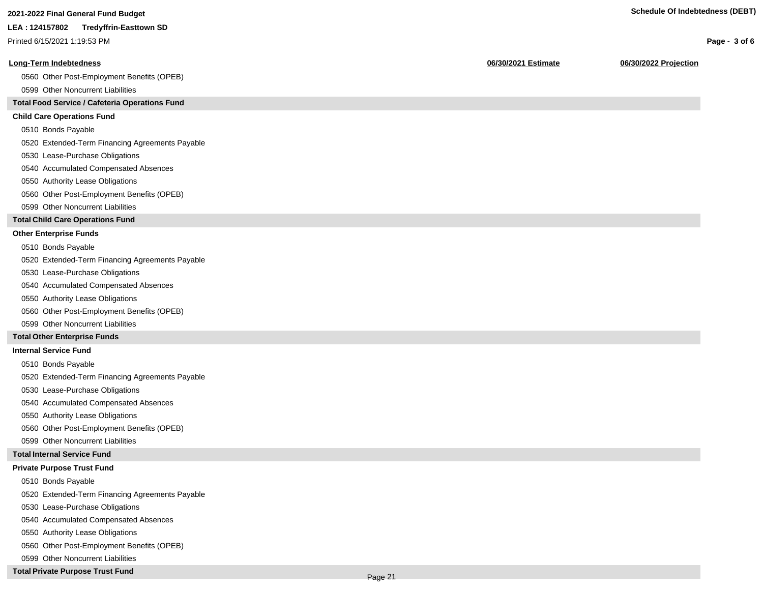Printed 6/15/2021 1:19:53 PM

#### **Long-Term Indebtedness 06/30/2021 Estimate 06/30/2022 Projection**

0560 Other Post-Employment Benefits (OPEB)

0599 Other Noncurrent Liabilities

#### **Total Food Service / Cafeteria Operations Fund**

#### **Child Care Operations Fund**

0510 Bonds Payable

0520 Extended-Term Financing Agreements Payable

- 0530 Lease-Purchase Obligations
- 0540 Accumulated Compensated Absences
- 0550 Authority Lease Obligations
- 0560 Other Post-Employment Benefits (OPEB)
- 0599 Other Noncurrent Liabilities

#### **Total Child Care Operations Fund**

#### **Other Enterprise Funds**

- 0510 Bonds Payable
- 0520 Extended-Term Financing Agreements Payable
- 0530 Lease-Purchase Obligations
- 0540 Accumulated Compensated Absences
- 0550 Authority Lease Obligations
- 0560 Other Post-Employment Benefits (OPEB)
- 0599 Other Noncurrent Liabilities

#### **Total Other Enterprise Funds**

#### **Internal Service Fund**

- 0510 Bonds Payable
- 0520 Extended-Term Financing Agreements Payable
- 0530 Lease-Purchase Obligations
- 0540 Accumulated Compensated Absences
- 0550 Authority Lease Obligations
- 0560 Other Post-Employment Benefits (OPEB)
- 0599 Other Noncurrent Liabilities

#### **Total Internal Service Fund**

#### **Private Purpose Trust Fund**

- 0510 Bonds Payable
- 0520 Extended-Term Financing Agreements Payable
- 0530 Lease-Purchase Obligations
- 0540 Accumulated Compensated Absences
- 0550 Authority Lease Obligations
- 0560 Other Post-Employment Benefits (OPEB)
- 0599 Other Noncurrent Liabilities

#### **Total Private Purpose Trust Fund**

Page 21

#### **Page - 3 of 6**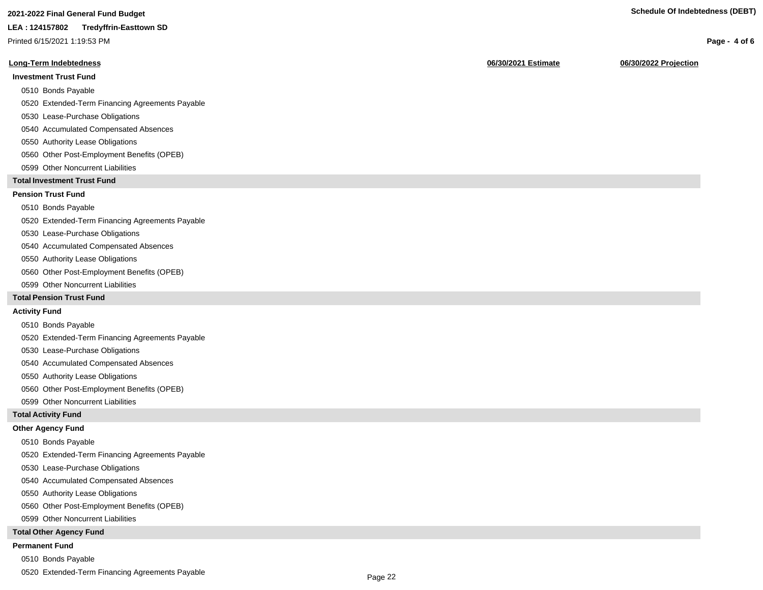Printed 6/15/2021 1:19:53 PM

#### **Long-Term Indebtedness 06/30/2021 Estimate 06/30/2022 Projection**

#### **Investment Trust Fund**

- 0510 Bonds Payable
- 0520 Extended-Term Financing Agreements Payable
- 0530 Lease-Purchase Obligations
- 0540 Accumulated Compensated Absences
- 0550 Authority Lease Obligations
- 0560 Other Post-Employment Benefits (OPEB)
- 0599 Other Noncurrent Liabilities

#### **Total Investment Trust Fund**

#### **Pension Trust Fund**

#### 0510 Bonds Payable

- 0520 Extended-Term Financing Agreements Payable
- 0530 Lease-Purchase Obligations
- 0540 Accumulated Compensated Absences
- 0550 Authority Lease Obligations
- 0560 Other Post-Employment Benefits (OPEB)
- 0599 Other Noncurrent Liabilities

#### **Total Pension Trust Fund**

#### **Activity Fund**

- 0510 Bonds Payable
- 0520 Extended-Term Financing Agreements Payable
- 0530 Lease-Purchase Obligations
- 0540 Accumulated Compensated Absences
- 0550 Authority Lease Obligations
- 0560 Other Post-Employment Benefits (OPEB)
- 0599 Other Noncurrent Liabilities

#### **Total Activity Fund**

#### **Other Agency Fund**

- 0510 Bonds Payable
- 0520 Extended-Term Financing Agreements Payable
- 0530 Lease-Purchase Obligations
- 0540 Accumulated Compensated Absences
- 0550 Authority Lease Obligations
- 0560 Other Post-Employment Benefits (OPEB)
- 0599 Other Noncurrent Liabilities

#### **Total Other Agency Fund**

#### **Permanent Fund**

- 0510 Bonds Payable
- 0520 Extended-Term Financing Agreements Payable

#### **Page - 4 of 6**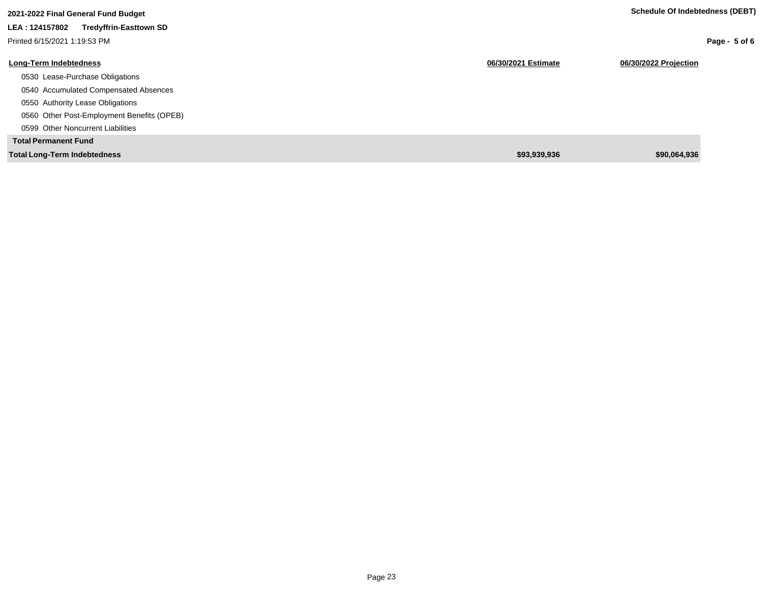| 2021-2022 Final General Fund Budget             |                     | <b>Schedule Of Indebtedness (DEBT)</b> |
|-------------------------------------------------|---------------------|----------------------------------------|
| <b>Tredyffrin-Easttown SD</b><br>LEA: 124157802 |                     |                                        |
| Printed 6/15/2021 1:19:53 PM                    |                     | Page - $5$ of 6                        |
| <b>Long-Term Indebtedness</b>                   | 06/30/2021 Estimate | 06/30/2022 Projection                  |
| 0530 Lease-Purchase Obligations                 |                     |                                        |
| 0540 Accumulated Compensated Absences           |                     |                                        |
| 0550 Authority Lease Obligations                |                     |                                        |
| 0560 Other Post-Employment Benefits (OPEB)      |                     |                                        |
| 0599 Other Noncurrent Liabilities               |                     |                                        |
| <b>Total Permanent Fund</b>                     |                     |                                        |
| <b>Total Long-Term Indebtedness</b>             | \$93,939,936        | \$90,064,936                           |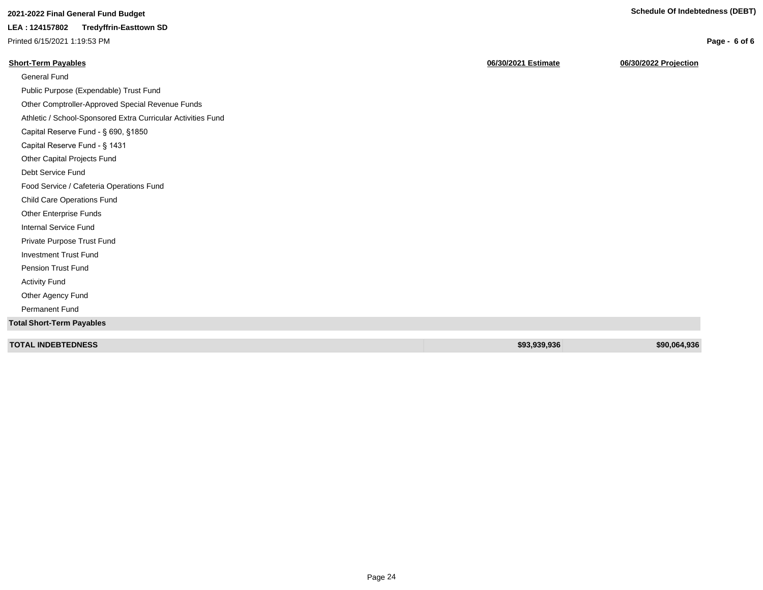**Page - 6 of 6**

## **2021-2022 Final General Fund Budget Schedule Of Indebtedness (DEBT)**

### **LEA : 124157802 Tredyffrin-Easttown SD**

Printed 6/15/2021 1:19:53 PM

**Short-Term Payables 06/30/2021 Estimate 06/30/2022 Projection**

| <b>General Fund</b>                                          |              |              |
|--------------------------------------------------------------|--------------|--------------|
| Public Purpose (Expendable) Trust Fund                       |              |              |
| Other Comptroller-Approved Special Revenue Funds             |              |              |
| Athletic / School-Sponsored Extra Curricular Activities Fund |              |              |
| Capital Reserve Fund - § 690, §1850                          |              |              |
| Capital Reserve Fund - § 1431                                |              |              |
| Other Capital Projects Fund                                  |              |              |
| Debt Service Fund                                            |              |              |
| Food Service / Cafeteria Operations Fund                     |              |              |
| Child Care Operations Fund                                   |              |              |
| Other Enterprise Funds                                       |              |              |
| Internal Service Fund                                        |              |              |
| Private Purpose Trust Fund                                   |              |              |
| <b>Investment Trust Fund</b>                                 |              |              |
| Pension Trust Fund                                           |              |              |
| <b>Activity Fund</b>                                         |              |              |
| Other Agency Fund                                            |              |              |
| Permanent Fund                                               |              |              |
| <b>Total Short-Term Payables</b>                             |              |              |
|                                                              |              |              |
| <b>TOTAL INDEBTEDNESS</b>                                    | \$93,939,936 | \$90,064,936 |